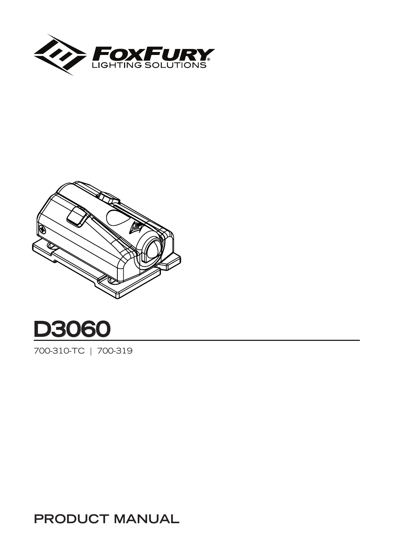





700-310-TC | 700-319

**PRODUCT MANUAL**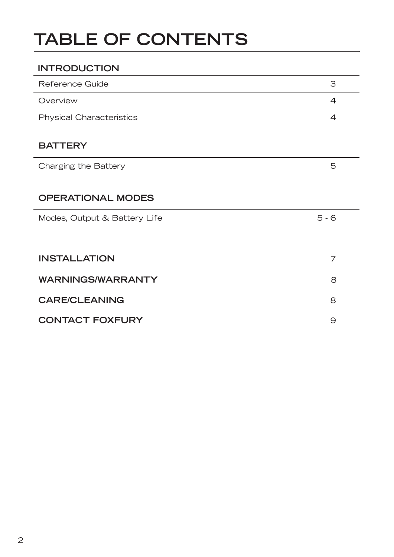# **TABLE OF CONTENTS**

| <b>INTRODUCTION</b>             |                |
|---------------------------------|----------------|
| Reference Guide                 | З              |
| Overview                        | 4              |
| <b>Physical Characteristics</b> | 4              |
| <b>BATTERY</b>                  |                |
| Charging the Battery            | 5              |
|                                 |                |
| <b>OPERATIONAL MODES</b>        |                |
| Modes, Output & Battery Life    | $5 - 6$        |
|                                 |                |
| <b>INSTALLATION</b>             | $\overline{7}$ |
| <b>WARNINGS/WARRANTY</b>        | 8              |
| <b>CARE/CLEANING</b>            | 8              |
| <b>CONTACT FOXFURY</b>          | 9              |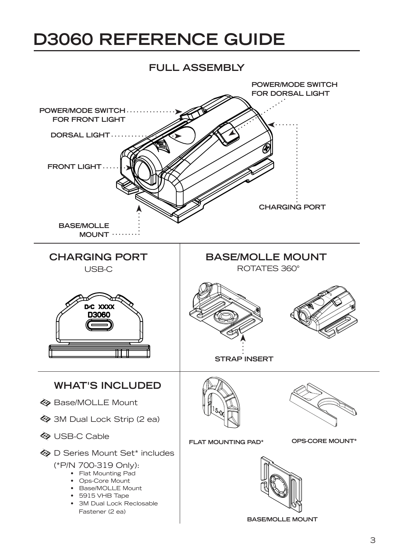# **D3060 REFERENCE GUIDE**

#### **FULL ASSEMBLY**

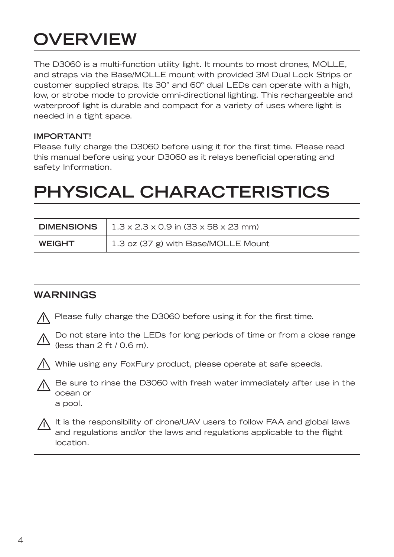# **OVERVIEW**

The D3060 is a multi-function utility light. It mounts to most drones, MOLLE, and straps via the Base/MOLLE mount with provided 3M Dual Lock Strips or customer supplied straps. Its 30° and 60° dual LEDs can operate with a high, low, or strobe mode to provide omni-directional lighting. This rechargeable and waterproof light is durable and compact for a variety of uses where light is needed in a tight space.

#### **IMPORTANT!**

Please fully charge the D3060 before using it for the first time. Please read this manual before using your D3060 as it relays beneficial operating and safety Information.

# **PHYSICAL CHARACTERISTICS**

| <b>DIMENSIONS</b> | $1.3 \times 2.3 \times 0.9$ in (33 x 58 x 23 mm) |
|-------------------|--------------------------------------------------|
| <b>WEIGHT</b>     | 1.3 oz (37 g) with Base/MOLLE Mount              |

### **WARNINGS**

Please fully charge the D3060 before using it for the first time.



Do not stare into the LEDs for long periods of time or from a close range (less than  $2 \text{ ft} / 0.6 \text{ m}$ ).



While using any FoxFury product, please operate at safe speeds.



It is the responsibility of drone/UAV users to follow FAA and global laws and regulations and/or the laws and regulations applicable to the flight location.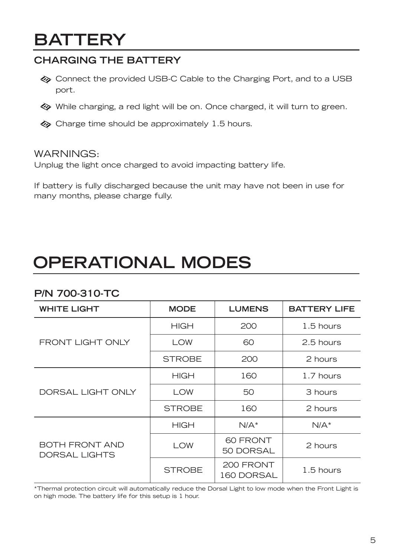## **BATTERY**

### **CHARGING THE BATTERY**

- Connect the provided USB-C Cable to the Charging Port, and to a USB port.
- While charging, a red light will be on. Once charged, it will turn to green.
- $\diamondsuit$  Charge time should be approximately 1.5 hours.

#### WARNINGS:

Unplug the light once charged to avoid impacting battery life.

If battery is fully discharged because the unit may have not been in use for many months, please charge fully.

# **OPERATIONAL MODES**

### **P/N 700-310-TC**

| <b>WHITE LIGHT</b>                     | <b>MODE</b>   | <b>LUMENS</b>           | <b>BATTERY LIFE</b> |
|----------------------------------------|---------------|-------------------------|---------------------|
| <b>FRONT LIGHT ONLY</b>                | <b>HIGH</b>   | 200                     | $1.5$ hours         |
|                                        | <b>LOW</b>    | 60                      | 2.5 hours           |
|                                        | <b>STROBE</b> | 200                     | 2 hours             |
| DORSAL LIGHT ONLY                      | <b>HIGH</b>   | 160                     | 1.7 hours           |
|                                        | <b>LOW</b>    | 50                      | 3 hours             |
|                                        | <b>STROBE</b> | 160                     | 2 hours             |
| BOTH FRONT AND<br><b>DORSAL LIGHTS</b> | <b>HIGH</b>   | $N/A^*$                 | $N/A^*$             |
|                                        | <b>LOW</b>    | 60 FRONT<br>50 DORSAL   | 2 hours             |
|                                        | <b>STROBE</b> | 200 FRONT<br>160 DORSAL | $1.5$ hours         |

\*Thermal protection circuit will automatically reduce the Dorsal Light to low mode when the Front Light is on high mode. The battery life for this setup is 1 hour.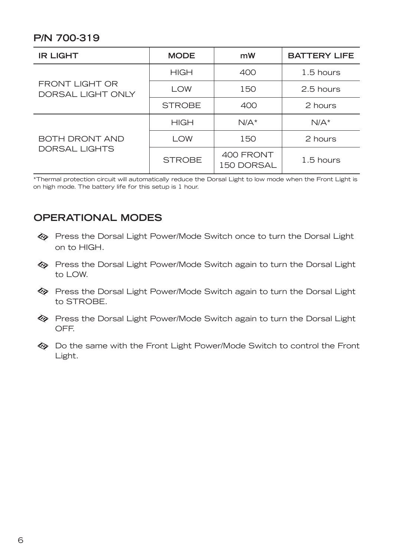### **P/N 700-319**

| <b>IR LIGHT</b>                     | <b>MODE</b>   | mW                      | <b>BATTERY LIFE</b> |
|-------------------------------------|---------------|-------------------------|---------------------|
| FRONT LIGHT OR<br>DORSAL LIGHT ONLY | <b>HIGH</b>   | 400                     | 1.5 hours           |
|                                     | <b>LOW</b>    | 150                     | 2.5 hours           |
|                                     | <b>STROBE</b> | 400                     | 2 hours             |
| BOTH DRONT AND<br>DORSAL LIGHTS     | <b>HIGH</b>   | $N/A^*$                 | $N/A^*$             |
|                                     | <b>LOW</b>    | 150                     | 2 hours             |
|                                     | <b>STROBE</b> | 400 FRONT<br>150 DORSAL | 1.5 hours           |

\*Thermal protection circuit will automatically reduce the Dorsal Light to low mode when the Front Light is on high mode. The battery life for this setup is 1 hour.

### **OPERATIONAL MODES**

- Press the Dorsal Light Power/Mode Switch once to turn the Dorsal Light on to HIGH.
- Press the Dorsal Light Power/Mode Switch again to turn the Dorsal Light to LOW.
- Press the Dorsal Light Power/Mode Switch again to turn the Dorsal Light to STROBE.
- Press the Dorsal Light Power/Mode Switch again to turn the Dorsal Light OFF.
- Do the same with the Front Light Power/Mode Switch to control the Front Light.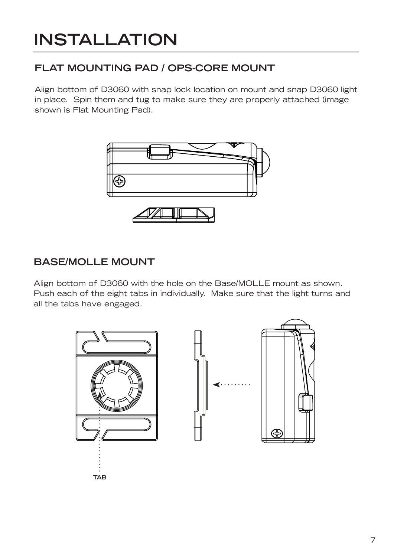# **INSTALLATION**

## **FLAT MOUNTING PAD / OPS-CORE MOUNT**

Align bottom of D3060 with snap lock location on mount and snap D3060 light in place. Spin them and tug to make sure they are properly attached (image shown is Flat Mounting Pad).



### **BASE/MOLLE MOUNT**

Align bottom of D3060 with the hole on the Base/MOLLE mount as shown. Push each of the eight tabs in individually. Make sure that the light turns and all the tabs have engaged.

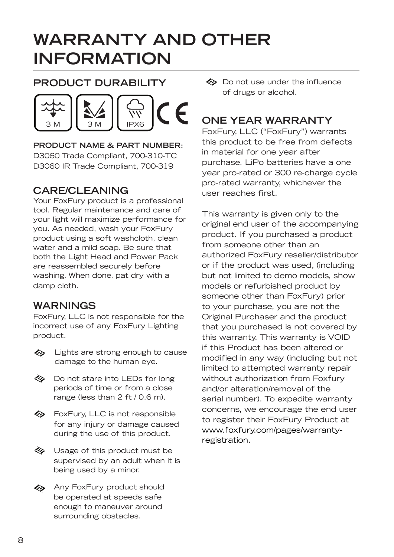# **WARRANTY AND OTHER INFORMATION**

### **PRODUCT DURABILITY**



**PRODUCT NAME & PART NUMBER:**  D3060 Trade Compliant, 700-310-TC D3060 IR Trade Compliant, 700-319

### **CARE/CLEANING**

Your FoxFury product is a professional tool. Regular maintenance and care of your light will maximize performance for you. As needed, wash your FoxFury product using a soft washcloth, clean water and a mild soap. Be sure that both the Light Head and Power Pack are reassembled securely before washing. When done, pat dry with a damp cloth.

### **WARNINGS**

FoxFury, LLC is not responsible for the incorrect use of any FoxFury Lighting product.

- 477 Lights are strong enough to cause damage to the human eye.
- Do not stare into LEDs for long periods of time or from a close range (less than 2 ft / 0.6 m).
- **♦ FoxFury, LLC is not responsible** for any injury or damage caused during the use of this product.
- **♦ Usage of this product must be** supervised by an adult when it is being used by a minor.
- **A** Any FoxFury product should be operated at speeds safe enough to maneuver around surrounding obstacles.

Do not use under the influence of drugs or alcohol.

## **ONE YEAR WARRANTY**

FoxFury, LLC ("FoxFury") warrants this product to be free from defects in material for one year after purchase. LiPo batteries have a one year pro-rated or 300 re-charge cycle pro-rated warranty, whichever the user reaches first.

This warranty is given only to the original end user of the accompanying product. If you purchased a product from someone other than an authorized FoxFury reseller/distributor or if the product was used, (including but not limited to demo models, show models or refurbished product by someone other than FoxFury) prior to your purchase, you are not the Original Purchaser and the product that you purchased is not covered by this warranty. This warranty is VOID if this Product has been altered or modified in any way (including but not limited to attempted warranty repair without authorization from Foxfury and/or alteration/removal of the serial number). To expedite warranty concerns, we encourage the end user to register their FoxFury Product at www.foxfury.com/pages/warrantyregistration.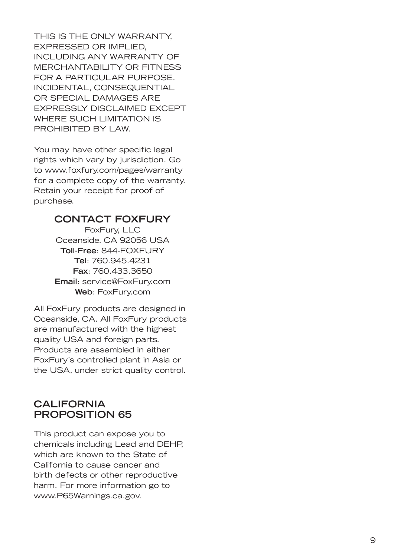THIS IS THE ONLY WARRANTY, EXPRESSED OR IMPLIED, INCLUDING ANY WARRANTY OF MERCHANTABILITY OR FITNESS FOR A PARTICULAR PURPOSE. INCIDENTAL, CONSEQUENTIAL OR SPECIAL DAMAGES ARE EXPRESSLY DISCLAIMED EXCEPT WHERE SUCH LIMITATION IS PROHIBITED BY LAW.

You may have other specific legal rights which vary by jurisdiction. Go to www.foxfury.com/pages/warranty for a complete copy of the warranty. Retain your receipt for proof of purchase.

#### **CONTACT FOXFURY**

FoxFury, LLC Oceanside, CA 92056 USA **Toll-Free**: 844-FOXFURY **Tel**: 760.945.4231 **Fax**: 760.433.3650 **Email**: service@FoxFury.com **Web**: FoxFury.com

All FoxFury products are designed in Oceanside, CA. All FoxFury products are manufactured with the highest quality USA and foreign parts. Products are assembled in either FoxFury's controlled plant in Asia or the USA, under strict quality control.

#### **CALIFORNIA PROPOSITION 65**

This product can expose you to chemicals including Lead and DEHP, which are known to the State of California to cause cancer and birth defects or other reproductive harm. For more information go to www.P65Warnings.ca.gov.